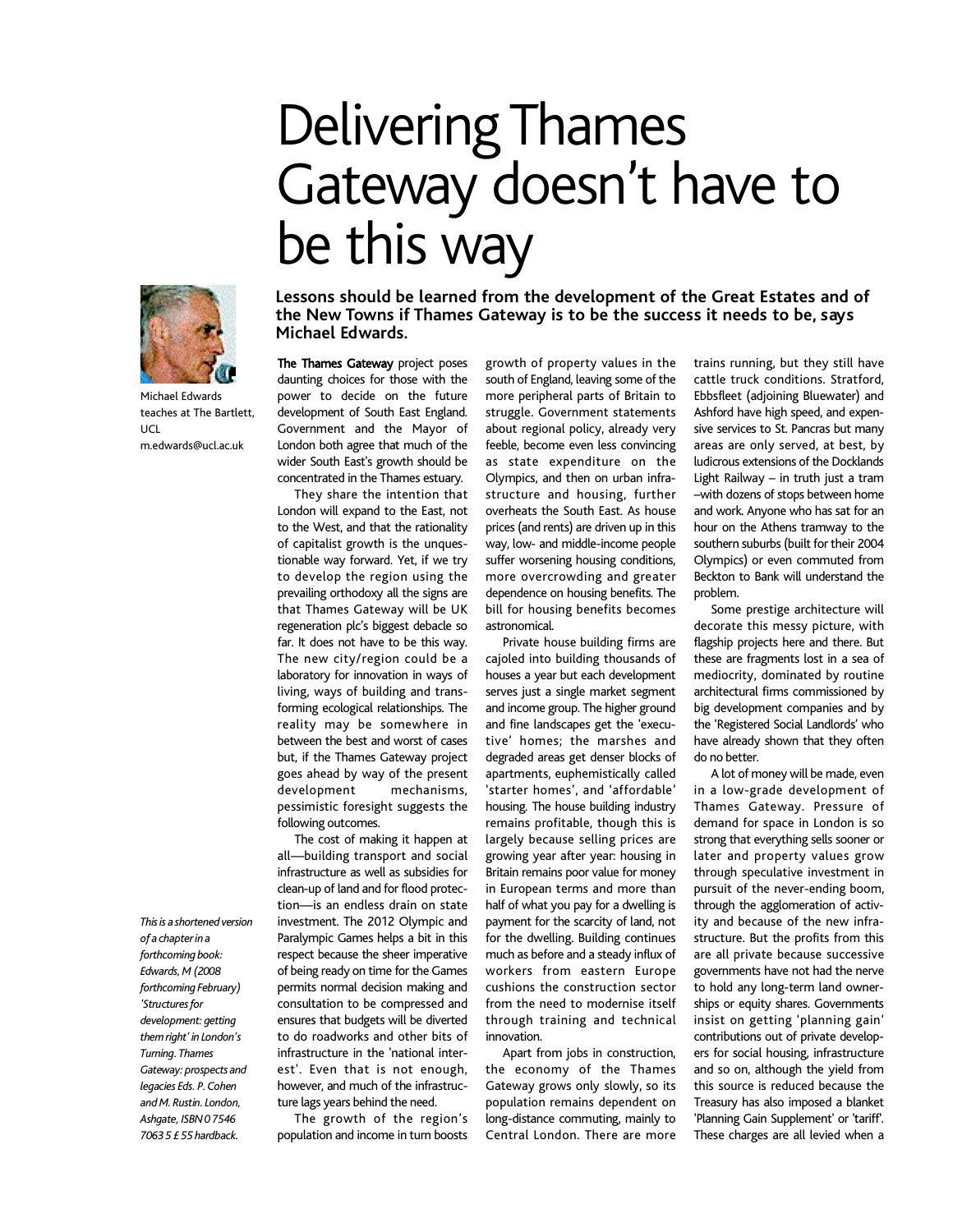## Delivering Thames Gateway doesn't have to be this way



Michael Edwards teaches at The Bartlett,  $\overline{\text{U}}$ m.edwards@ucl.ac.uk

*Thisis ashortened version of a chapter in a forthcoming book: Edwards,M (2008 forthcoming February)* 'Structures for *development: getting themright' in London's Turning. Thames Gateway: prospects and legacies Eds. P.Cohen and M.Rustin.London, Ashgate, ISBN0 7546 7063 5 £ 55 hardback.*

**Lessons should be learned from the development of the Great Estates and of the New Towns if Thames Gateway is to be the success it needs to be, says Michael Edwards.**

The Thames Gateway project poses daunting choices for those with the power to decide on the future development of South East England. Government and the Mayor of London both agree that much of the wider South East's growth should be concentrated in the Thames estuary.

They share the intention that London will expand to the East, not to the West, and that the rationality of capitalist growth is the unquestionable way forward. Yet, if we try to develop the region using the prevailing orthodoxy all the signs are that Thames Gateway will be UK regeneration plc's biggest debacle so far. It does not have to be this way. The new city/region could be a laboratory for innovation in ways of living, ways of building and transforming ecological relationships. The reality may be somewhere in between the best and worst of cases but, if the Thames Gateway project goes ahead by way of the present development mechanisms, pessimistic foresight suggests the following outcomes.

The cost of making it happen at all—building transport and social infrastructure as well as subsidies for clean-up of land and for flood protection—is an endless drain on state investment. The 2012 Olympic and Paralympic Games helps a bit in this respect because the sheer imperative of being ready on time for the Games permits normal decision making and consultation to be compressed and ensures that budgets will be diverted to do roadworks and other bits of infrastructure in the 'national interest'. Even that is not enough, however, and much of the infrastructure lags years behind the need.

The growth of the region's population and income in turn boosts growth of property values in the south of England, leaving some of the more peripheral parts of Britain to struggle. Government statements about regional policy, already very feeble, become even less convincing as state expenditure on the Olympics, and then on urban infrastructure and housing, further overheats the South East. As house prices(and rents) are driven up in this way, low- and middle-income people suffer worsening housing conditions, more overcrowding and greater dependence on housing benefits. The bill for housing benefits becomes astronomical.

Private house building firms are cajoled into building thousands of houses a year but each development serves just a single market segment and income group. The higher ground and fine landscapes get the 'executive' homes; the marshes and degraded areas get denser blocks of apartments, euphemistically called 'starter homes', and 'affordable' housing. The house building industry remains profitable, though this is largely because selling prices are growing year after year: housing in Britain remains poor value for money in European terms and more than half of what you pay for a dwelling is payment for the scarcity of land, not for the dwelling. Building continues much as before and a steady influx of workers from eastern Europe cushions the construction sector from the need to modernise itself through training and technical innovation.

Apart from jobs in construction, the economy of the Thames Gateway grows only slowly, so its population remains dependent on long-distance commuting, mainly to Central London. There are more trains running, but they still have cattle truck conditions. Stratford, Ebbsfleet (adjoining Bluewater) and Ashford have high speed, and expensive services to St. Pancras but many areas are only served, at best, by ludicrous extensions of the Docklands Light Railway – in truth just a tram –with dozens of stops between home and work. Anyone who has sat for an hour on the Athens tramway to the southern suburbs (built for their 2004 Olympics) or even commuted from Beckton to Bank will understand the problem.

Some prestige architecture will decorate this messy picture, with flagship projects here and there. But these are fragments lost in a sea of mediocrity, dominated by routine architectural firms commissioned by big development companies and by the 'Registered Social Landlords' who have already shown that they often do no better.

A lot of money will be made, even in a low-grade development of Thames Gateway. Pressure of demand for space in London is so strong that everything sells sooner or later and property values grow through speculative investment in pursuit of the never-ending boom, through the agglomeration of activity and because of the new infrastructure. But the profits from this are all private because successive governments have not had the nerve to hold any long-term land ownerships or equity shares. Governments insist on getting 'planning gain' contributions out of private developers for social housing, infrastructure and so on, although the yield from this source is reduced because the Treasury has also imposed a blanket 'Planning Gain Supplement' or 'tariff'. These charges are all levied when a